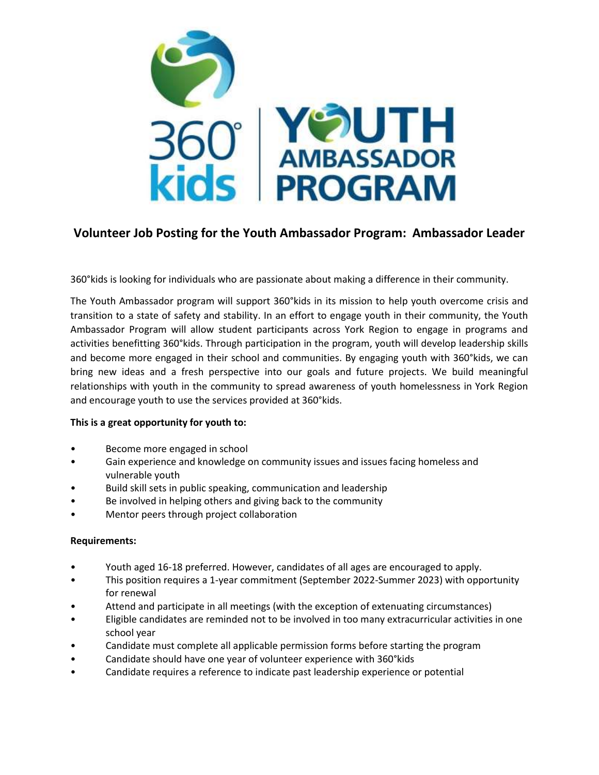

# **Volunteer Job Posting for the Youth Ambassador Program: Ambassador Leader**

360°kids is looking for individuals who are passionate about making a difference in their community.

The Youth Ambassador program will support 360°kids in its mission to help youth overcome crisis and transition to a state of safety and stability. In an effort to engage youth in their community, the Youth Ambassador Program will allow student participants across York Region to engage in programs and activities benefitting 360°kids. Through participation in the program, youth will develop leadership skills and become more engaged in their school and communities. By engaging youth with 360°kids, we can bring new ideas and a fresh perspective into our goals and future projects. We build meaningful relationships with youth in the community to spread awareness of youth homelessness in York Region and encourage youth to use the services provided at 360°kids.

### **This is a great opportunity for youth to:**

- Become more engaged in school
- Gain experience and knowledge on community issues and issues facing homeless and vulnerable youth
- Build skill sets in public speaking, communication and leadership
- Be involved in helping others and giving back to the community
- Mentor peers through project collaboration

### **Requirements:**

- Youth aged 16-18 preferred. However, candidates of all ages are encouraged to apply.
- This position requires a 1-year commitment (September 2022-Summer 2023) with opportunity for renewal
- Attend and participate in all meetings (with the exception of extenuating circumstances)
- Eligible candidates are reminded not to be involved in too many extracurricular activities in one school year
- Candidate must complete all applicable permission forms before starting the program
- Candidate should have one year of volunteer experience with 360°kids
- Candidate requires a reference to indicate past leadership experience or potential